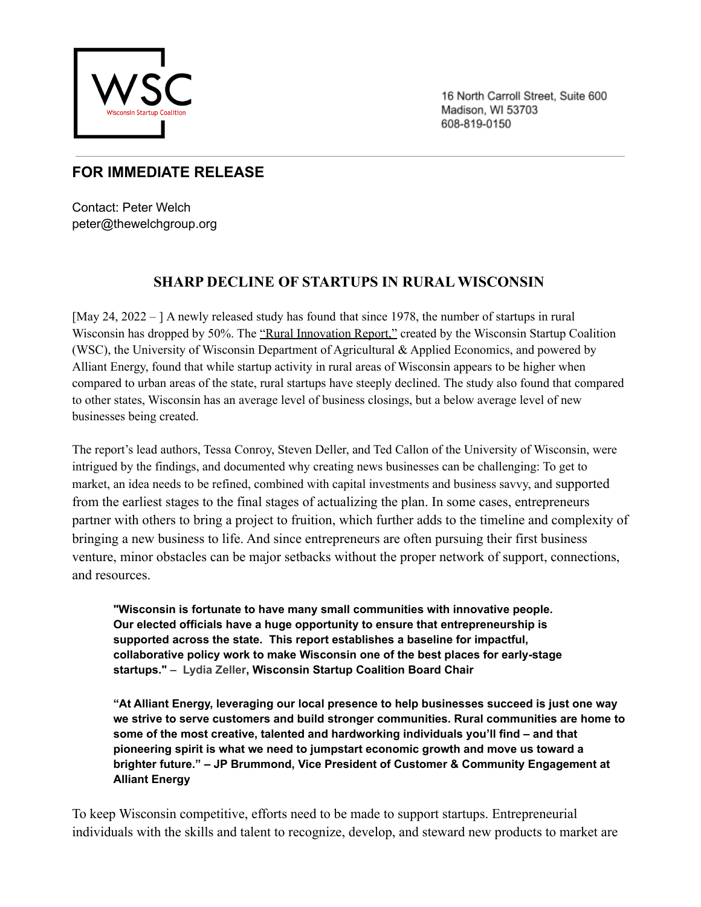

16 North Carroll Street, Suite 600 Madison, WI 53703 608-819-0150

## **FOR IMMEDIATE RELEASE**

Contact: Peter Welch peter@thewelchgroup.org

## **SHARP DECLINE OF STARTUPS IN RURAL WISCONSIN**

[May 24, 2022 – ] A newly released study has found that since 1978, the number of startups in rural Wisconsin has dropped by 50%. The "Rural Innovation Report," created by the Wisconsin Startup Coalition (WSC), the University of Wisconsin Department of Agricultural & Applied Economics, and powered by Alliant Energy, found that while startup activity in rural areas of Wisconsin appears to be higher when compared to urban areas of the state, rural startups have steeply declined. The study also found that compared to other states, Wisconsin has an average level of business closings, but a below average level of new businesses being created.

The report's lead authors, Tessa Conroy, Steven Deller, and Ted Callon of the University of Wisconsin, were intrigued by the findings, and documented why creating news businesses can be challenging: To get to market, an idea needs to be refined, combined with capital investments and business savvy, and supported from the earliest stages to the final stages of actualizing the plan. In some cases, entrepreneurs partner with others to bring a project to fruition, which further adds to the timeline and complexity of bringing a new business to life. And since entrepreneurs are often pursuing their first business venture, minor obstacles can be major setbacks without the proper network of support, connections, and resources.

**"Wisconsin is fortunate to have many small communities with innovative people. Our elected officials have a huge opportunity to ensure that entrepreneurship is supported across the state. This report establishes a baseline for impactful, collaborative policy work to make Wisconsin one of the best places for early-stage startups." – Lydia Zeller, Wisconsin Startup Coalition Board Chair**

**"At Alliant Energy, leveraging our local presence to help businesses succeed is just one way we strive to serve customers and build stronger communities. Rural communities are home to some of the most creative, talented and hardworking individuals you'll find – and that pioneering spirit is what we need to jumpstart economic growth and move us toward a brighter future." – JP Brummond, Vice President of Customer & Community Engagement at Alliant Energy**

To keep Wisconsin competitive, efforts need to be made to support startups. Entrepreneurial individuals with the skills and talent to recognize, develop, and steward new products to market are